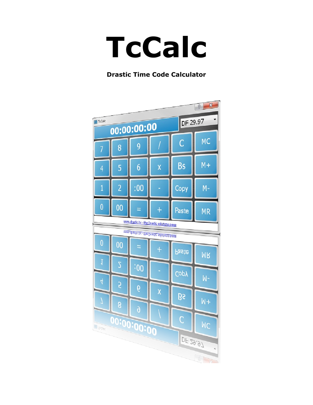# **TcCalc**

#### **Drastic Time Code Calculator**

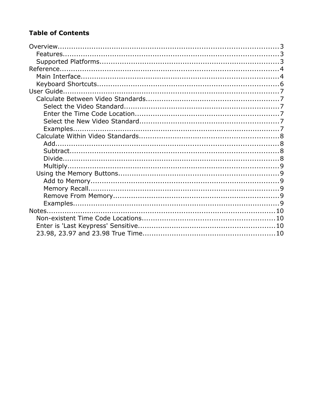#### **Table of Contents**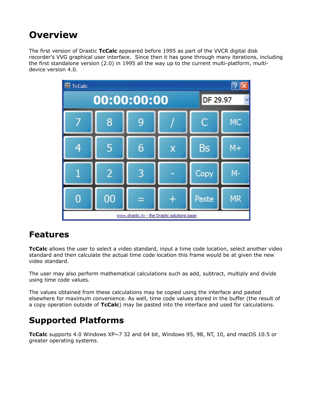# **Overview**

The first version of Drastic **TcCalc** appeared before 1995 as part of the VVCR digital disk recorder's VVG graphical user interface. Since then it has gone through many iterations, including the first standalone version (2.0) in 1995 all the way up to the current multi-platform, multidevice version 4.0.



## **Features**

**TcCalc** allows the user to select a video standard, input a time code location, select another video standard and then calculate the actual time code location this frame would be at given the new video standard.

The user may also perform mathematical calculations such as add, subtract, multiply and divide using time code values.

The values obtained from these calculations may be copied using the interface and pasted elsewhere for maximum convenience. As well, time code values stored in the buffer (the result of a copy operation outside of **TcCalc**) may be pasted into the interface and used for calculations.

# **Supported Platforms**

**TcCalc** supports 4.0 Windows XP~7 32 and 64 bit, Windows 95, 98, NT, 10, and macOS 10.5 or greater operating systems.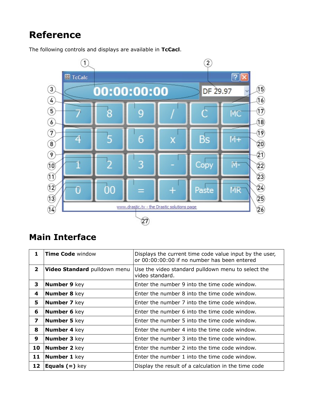# **Reference**



The following controls and displays are available in **TcCacl**.

## **Main Interface**

| 1            | <b>Time Code window</b>            | Displays the current time code value input by the user,<br>or 00:00:00:00 if no number has been entered |  |
|--------------|------------------------------------|---------------------------------------------------------------------------------------------------------|--|
| $\mathbf{2}$ | Video Standard pulldown menu       | Use the video standard pulldown menu to select the<br>video standard.                                   |  |
| 3            | <b>Number 9 key</b>                | Enter the number 9 into the time code window.                                                           |  |
| 4            | <b>Number 8 key</b>                | Enter the number 8 into the time code window.                                                           |  |
| 5            | <b>Number 7</b> key                | Enter the number 7 into the time code window.                                                           |  |
| 6            | <b>Number 6 key</b>                | Enter the number 6 into the time code window.                                                           |  |
| 7            | <b>Number 5 key</b>                | Enter the number 5 into the time code window.                                                           |  |
| 8            | <b>Number 4 key</b>                | Enter the number 4 into the time code window.                                                           |  |
| 9            | <b>Number 3 key</b>                | Enter the number 3 into the time code window.                                                           |  |
| 10           | <b>Number 2 key</b>                | Enter the number 2 into the time code window.                                                           |  |
| 11           | <b>Number 1 key</b>                | Enter the number 1 into the time code window.                                                           |  |
| 12           | <b>Equals <math>(=)</math></b> key | Display the result of a calculation in the time code                                                    |  |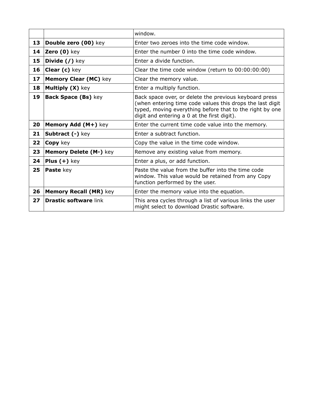|    |                                    | window.                                                                                                                                                                                                                        |
|----|------------------------------------|--------------------------------------------------------------------------------------------------------------------------------------------------------------------------------------------------------------------------------|
| 13 | Double zero (00) key               | Enter two zeroes into the time code window.                                                                                                                                                                                    |
| 14 | Zero (0) key                       | Enter the number 0 into the time code window.                                                                                                                                                                                  |
| 15 | <b>Divide <math>(</math></b> ) key | Enter a divide function.                                                                                                                                                                                                       |
| 16 | Clear (c) key                      | Clear the time code window (return to 00:00:00:00)                                                                                                                                                                             |
| 17 | <b>Memory Clear (MC) key</b>       | Clear the memory value.                                                                                                                                                                                                        |
| 18 | Multiply (X) key                   | Enter a multiply function.                                                                                                                                                                                                     |
| 19 | Back Space (Bs) key                | Back space over, or delete the previous keyboard press<br>(when entering time code values this drops the last digit<br>typed, moving everything before that to the right by one<br>digit and entering a 0 at the first digit). |
| 20 | Memory Add (M+) key                | Enter the current time code value into the memory.                                                                                                                                                                             |
| 21 | Subtract (-) key                   | Enter a subtract function.                                                                                                                                                                                                     |
| 22 | Copy key                           | Copy the value in the time code window.                                                                                                                                                                                        |
| 23 | Memory Delete (M-) key             | Remove any existing value from memory.                                                                                                                                                                                         |
| 24 | <b>Plus <math>(+)</math></b> key   | Enter a plus, or add function.                                                                                                                                                                                                 |
| 25 | Paste key                          | Paste the value from the buffer into the time code<br>window. This value would be retained from any Copy<br>function performed by the user.                                                                                    |
| 26 | <b>Memory Recall (MR) key</b>      | Enter the memory value into the equation.                                                                                                                                                                                      |
| 27 | <b>Drastic software link</b>       | This area cycles through a list of various links the user<br>might select to download Drastic software.                                                                                                                        |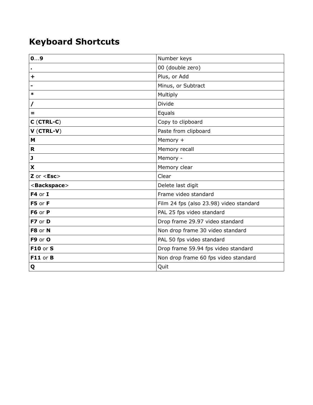# **Keyboard Shortcuts**

| 09                      | Number keys                             |
|-------------------------|-----------------------------------------|
|                         | 00 (double zero)                        |
| $\ddot{}$               | Plus, or Add                            |
|                         | Minus, or Subtract                      |
| *                       | Multiply                                |
|                         | <b>Divide</b>                           |
| Ξ                       | Equals                                  |
| $C$ (CTRL-C)            | Copy to clipboard                       |
| $V$ (CTRL-V)            | Paste from clipboard                    |
| M                       | Memory +                                |
| R                       | Memory recall                           |
| J                       | Memory -                                |
| X                       | Memory clear                            |
| $Z$ or $\le$ Esc $>$    | Clear                                   |
| <backspace></backspace> | Delete last digit                       |
| $F4$ or I               | Frame video standard                    |
| F5 or F                 | Film 24 fps (also 23.98) video standard |
| F6 or P                 | PAL 25 fps video standard               |
| F7 or D                 | Drop frame 29.97 video standard         |
| F8 or N                 | Non drop frame 30 video standard        |
| F9 or O                 | PAL 50 fps video standard               |
| <b>F10 or S</b>         | Drop frame 59.94 fps video standard     |
| F11 or B                | Non drop frame 60 fps video standard    |
| Q                       | Quit                                    |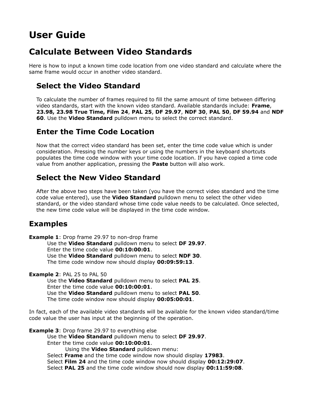# **User Guide**

## **Calculate Between Video Standards**

Here is how to input a known time code location from one video standard and calculate where the same frame would occur in another video standard.

#### **Select the Video Standard**

To calculate the number of frames required to fill the same amount of time between differing video standards, start with the known video standard. Available standards include: **Frame**, **23.98, 23.98 True Time, Film 24**, **PAL 25**, **DF 29.97**, **NDF 30**, **PAL 50**, **DF 59.94** and **NDF 60**. Use the **Video Standard** pulldown menu to select the correct standard.

#### **Enter the Time Code Location**

Now that the correct video standard has been set, enter the time code value which is under consideration. Pressing the number keys or using the numbers in the keyboard shortcuts populates the time code window with your time code location. If you have copied a time code value from another application, pressing the **Paste** button will also work.

#### **Select the New Video Standard**

After the above two steps have been taken (you have the correct video standard and the time code value entered), use the **Video Standard** pulldown menu to select the other video standard, or the video standard whose time code value needs to be calculated. Once selected, the new time code value will be displayed in the time code window.

#### **Examples**

**Example 1:** Drop frame 29.97 to non-drop frame Use the **Video Standard** pulldown menu to select **DF 29.97**. Enter the time code value **00:10:00:01**. Use the **Video Standard** pulldown menu to select **NDF 30**. The time code window now should display **00:09:59:13**.

**Example 2**: PAL 25 to PAL 50

Use the **Video Standard** pulldown menu to select **PAL 25**. Enter the time code value **00:10:00:01**. Use the **Video Standard** pulldown menu to select **PAL 50**. The time code window now should display **00:05:00:01**.

In fact, each of the available video standards will be available for the known video standard/time code value the user has input at the beginning of the operation.

**Example 3**: Drop frame 29.97 to everything else Use the **Video Standard** pulldown menu to select **DF 29.97**. Enter the time code value **00:10:00:01**. Using the **Video Standard** pulldown menu: Select **Frame** and the time code window now should display **17983**. Select **Film 24** and the time code window now should display **00:12:29:07**. Select **PAL 25** and the time code window should now display **00:11:59:08**.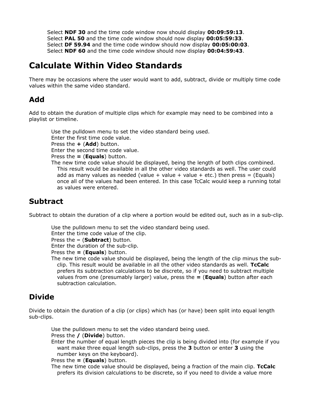Select **NDF 30** and the time code window now should display **00:09:59:13**. Select **PAL 50** and the time code window should now display **00:05:59:33**. Select **DF 59.94** and the time code window should now display **00:05:00:03**. Select **NDF 60** and the time code window should now display **00:04:59:43**.

## **Calculate Within Video Standards**

There may be occasions where the user would want to add, subtract, divide or multiply time code values within the same video standard.

#### **Add**

Add to obtain the duration of multiple clips which for example may need to be combined into a playlist or timeline.

Use the pulldown menu to set the video standard being used. Enter the first time code value. Press the **+** (**Add**) button. Enter the second time code value. Press the **=** (**Equals**) button. The new time code value should be displayed, being the length of both clips combined. This result would be available in all the other video standards as well. The user could add as many values as needed (value  $+$  value  $+$  value  $+$  etc.) then press  $=$  (Equals) once all of the values had been entered. In this case TcCalc would keep a running total as values were entered.

#### **Subtract**

Subtract to obtain the duration of a clip where a portion would be edited out, such as in a sub-clip.

Use the pulldown menu to set the video standard being used.

Enter the time code value of the clip.

Press the **–** (**Subtract**) button.

Enter the duration of the sub-clip.

Press the **=** (**Equals**) button.

The new time code value should be displayed, being the length of the clip minus the subclip. This result would be available in all the other video standards as well. **TcCalc** prefers its subtraction calculations to be discrete, so if you need to subtract multiple values from one (presumably larger) value, press the **=** (**Equals**) button after each subtraction calculation.

#### **Divide**

Divide to obtain the duration of a clip (or clips) which has (or have) been split into equal length sub-clips.

Use the pulldown menu to set the video standard being used.

Press the **/** (**Divide**) button.

Enter the number of equal length pieces the clip is being divided into (for example if you want make three equal length sub-clips, press the **3** button or enter **3** using the number keys on the keyboard).

#### Press the **=** (**Equals**) button.

The new time code value should be displayed, being a fraction of the main clip. **TcCalc** prefers its division calculations to be discrete, so if you need to divide a value more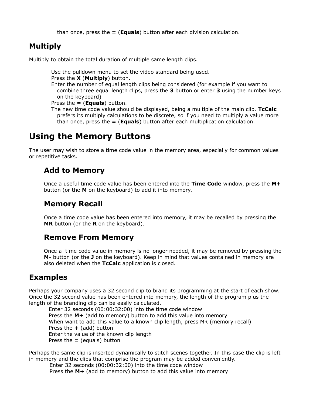than once, press the **=** (**Equals**) button after each division calculation.

#### **Multiply**

Multiply to obtain the total duration of multiple same length clips.

Use the pulldown menu to set the video standard being used. Press the **X** (**Multiply**) button. Enter the number of equal length clips being considered (for example if you want to combine three equal length clips, press the **3** button or enter **3** using the number keys on the keyboard)

Press the **=** (**Equals**) button.

The new time code value should be displayed, being a multiple of the main clip. **TcCalc** prefers its multiply calculations to be discrete, so if you need to multiply a value more than once, press the **=** (**Equals**) button after each multiplication calculation.

## **Using the Memory Buttons**

The user may wish to store a time code value in the memory area, especially for common values or repetitive tasks.

#### **Add to Memory**

Once a useful time code value has been entered into the **Time Code** window, press the **M+**  button (or the **M** on the keyboard) to add it into memory.

#### **Memory Recall**

Once a time code value has been entered into memory, it may be recalled by pressing the **MR** button (or the **R** on the keyboard).

#### **Remove From Memory**

Once a time code value in memory is no longer needed, it may be removed by pressing the **M-** button (or the **J** on the keyboard). Keep in mind that values contained in memory are also deleted when the **TcCalc** application is closed.

#### **Examples**

Perhaps your company uses a 32 second clip to brand its programming at the start of each show. Once the 32 second value has been entered into memory, the length of the program plus the length of the branding clip can be easily calculated.

Enter 32 seconds (00:00:32:00) into the time code window Press the **M+** (add to memory) button to add this value into memory When want to add this value to a known clip length, press MR (memory recall) Press the **+** (add) button Enter the value of the known clip length Press the **=** (equals) button

Perhaps the same clip is inserted dynamically to stitch scenes together. In this case the clip is left in memory and the clips that comprise the program may be added conveniently.

Enter 32 seconds (00:00:32:00) into the time code window Press the **M+** (add to memory) button to add this value into memory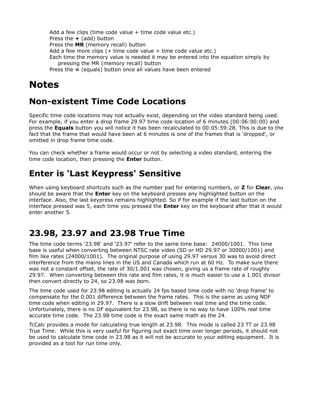```
Add a few clips (time code value + time code value etc.)
Press the + (add) button
Press the MR (memory recall) button
Add a few more clips (+ time code value + time code value etc.)
Each time the memory value is needed it may be entered into the equation simply by 
   pressing the MR (memory recall) button
Press the = (equals) button once all values have been entered
```
# **Notes**

# **Non-existent Time Code Locations**

Specific time code locations may not actually exist, depending on the video standard being used. For example, if you enter a drop frame 29.97 time code location of 6 minutes (00:06:00:00) and press the **Equals** button you will notice it has been recalculated to 00:05:59:28. This is due to the fact that the frame that would have been at 6 minutes is one of the frames that is 'dropped', or omitted in drop frame time code.

You can check whether a frame would occur or not by selecting a video standard, entering the time code location, then pressing the **Enter** button.

## **Enter is 'Last Keypress' Sensitive**

When using keyboard shortcuts such as the number pad for entering numbers, or **Z** for **Clear**, you should be aware that the **Enter** key on the keyboard presses any highlighted button on the interface. Also, the last keypress remains highlighted. So if for example if the last button on the interface pressed was 5, each time you pressed the **Enter** key on the keyboard after that it would enter another 5.

## **23.98, 23.97 and 23.98 True Time**

The time code terms '23.98' and '23.97' refer to the same time base: 24000/1001. This time base is useful when converting between NTSC rate video (SD or HD 29.97 or 30000/1001) and film like rates (24000/1001). The original purpose of using 29.97 versus 30 was to avoid direct interference from the mains lines in the US and Canada which run at 60 Hz. To make sure there was not a constant offset, the rate of 30/1.001 was chosen, giving us a frame rate of roughly 29.97. When converting between this rate and film rates, it is much easier to use a 1.001 divisor then convert directly to 24, so 23.98 was born.

The time code used for 23.98 editing is actually 24 fps based time code with no 'drop frame' to compensate for the 0.001 difference between the frame rates. This is the same as using NDF time code when editing in 29.97. There is a slow drift between real time and the time code. Unfortunately, there is no DF equivalent for 23.98, so there is no way to have 100% real time accurate time code. The 23.98 time code is the exact same math as the 24.

TcCalc provides a mode for calculating true length at 23.98. This mode is called 23 TT or 23.98 True Time. While this is very useful for figuring out exact time over longer periods, it should not be used to calculate time code in 23.98 as it will not be accurate to your editing equipment. It is provided as a tool for run time only.